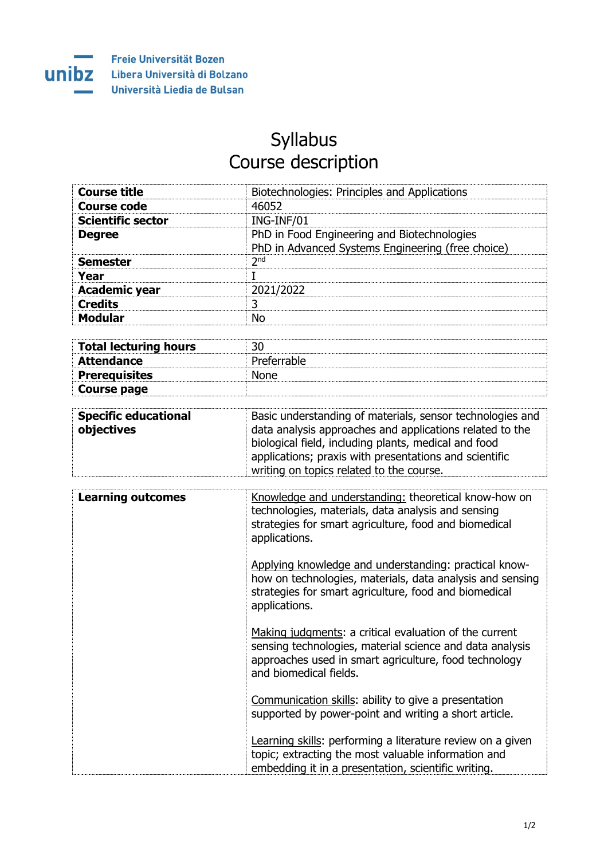

## Syllabus Course description

| <b>Course title</b>      | Biotechnologies: Principles and Applications                                                     |
|--------------------------|--------------------------------------------------------------------------------------------------|
| <b>Course code</b>       | 46052                                                                                            |
| <b>Scientific sector</b> | ING-INF/01                                                                                       |
| <b>Degree</b>            | PhD in Food Engineering and Biotechnologies<br>PhD in Advanced Systems Engineering (free choice) |
| <b>Semester</b>          | 2 <sub>nd</sub>                                                                                  |
| Year                     |                                                                                                  |
| <b>Academic year</b>     | 2021/2022                                                                                        |
| <b>Credits</b>           | 3                                                                                                |
| <b>Modular</b>           | N٥                                                                                               |

| Total lecturing hours |             |
|-----------------------|-------------|
| Attendance            | Preferrable |
| Prerequisites         | <b>None</b> |
| Course page           |             |

| <b>Specific educational</b><br>objectives | Basic understanding of materials, sensor technologies and<br>data analysis approaches and applications related to the<br>biological field, including plants, medical and food<br>applications; praxis with presentations and scientific<br>writing on topics related to the course. |
|-------------------------------------------|-------------------------------------------------------------------------------------------------------------------------------------------------------------------------------------------------------------------------------------------------------------------------------------|
|                                           |                                                                                                                                                                                                                                                                                     |

| <b>Learning outcomes</b> | Knowledge and understanding: theoretical know-how on<br>technologies, materials, data analysis and sensing<br>strategies for smart agriculture, food and biomedical<br>applications.                  |
|--------------------------|-------------------------------------------------------------------------------------------------------------------------------------------------------------------------------------------------------|
|                          | Applying knowledge and understanding: practical know-<br>how on technologies, materials, data analysis and sensing<br>strategies for smart agriculture, food and biomedical<br>applications.          |
|                          | Making judgments: a critical evaluation of the current<br>sensing technologies, material science and data analysis<br>approaches used in smart agriculture, food technology<br>and biomedical fields. |
|                          | Communication skills: ability to give a presentation<br>supported by power-point and writing a short article.                                                                                         |
|                          | Learning skills: performing a literature review on a given<br>topic; extracting the most valuable information and<br>embedding it in a presentation, scientific writing.                              |